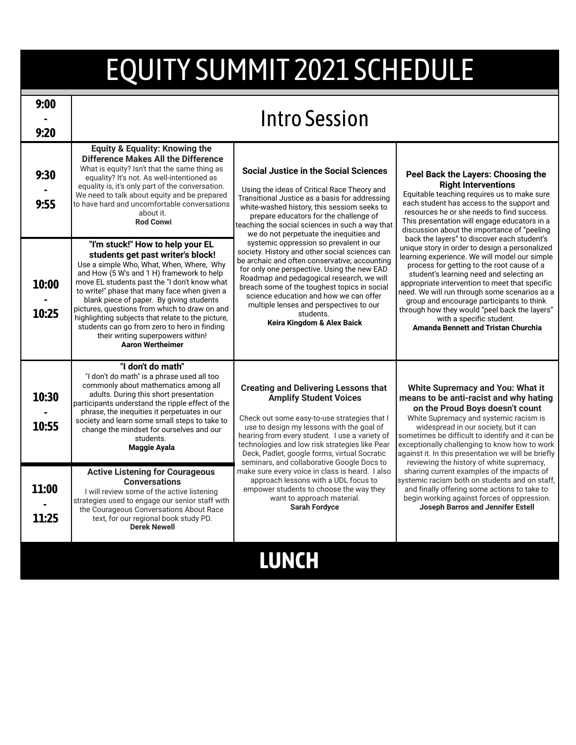## EQUITY SUMMIT 2021 SCHEDULE

| 9:00<br>9:20   | <b>Intro Session</b>                                                                                                                                                                                                                                                                                                                                                                                                                                                                                                             |                                                                                                                                                                                                                                                                                                                                                                                                                                                                                                                                                                                                                                                                                                                                                                |                                                                                                                                                                                                                                                                                                                                                                                                                                                                                                                                                                                                                                                                                                                                                                                                                                   |
|----------------|----------------------------------------------------------------------------------------------------------------------------------------------------------------------------------------------------------------------------------------------------------------------------------------------------------------------------------------------------------------------------------------------------------------------------------------------------------------------------------------------------------------------------------|----------------------------------------------------------------------------------------------------------------------------------------------------------------------------------------------------------------------------------------------------------------------------------------------------------------------------------------------------------------------------------------------------------------------------------------------------------------------------------------------------------------------------------------------------------------------------------------------------------------------------------------------------------------------------------------------------------------------------------------------------------------|-----------------------------------------------------------------------------------------------------------------------------------------------------------------------------------------------------------------------------------------------------------------------------------------------------------------------------------------------------------------------------------------------------------------------------------------------------------------------------------------------------------------------------------------------------------------------------------------------------------------------------------------------------------------------------------------------------------------------------------------------------------------------------------------------------------------------------------|
| 9:30<br>9:55   | Equity & Equality: Knowing the<br><b>Difference Makes All the Difference</b><br>What is equity? Isn't that the same thing as<br>equality? It's not. As well-intentioned as<br>equality is, it's only part of the conversation.<br>We need to talk about equity and be prepared<br>to have hard and uncomfortable conversations<br>about it.<br><b>Rod Conwi</b>                                                                                                                                                                  | <b>Social Justice in the Social Sciences</b><br>Using the ideas of Critical Race Theory and<br>Transitional Justice as a basis for addressing<br>white-washed history, this sessiom seeks to<br>prepare educators for the challenge of<br>teaching the social sciences in such a way that<br>we do not perpetuate the inequities and<br>systemic oppression so prevalent in our<br>society. History and other social sciences can<br>be archaic and often conservative; accounting<br>for only one perspective. Using the new EAD<br>Roadmap and pedagogical research, we will<br>breach some of the toughest topics in social<br>science education and how we can offer<br>multiple lenses and perspectives to our<br>students.<br>Keira Kingdom & Alex Baick | Peel Back the Layers: Choosing the<br><b>Right Interventions</b><br>Equitable teaching requires us to make sure<br>each student has access to the support and<br>resources he or she needs to find success.<br>This presentation will engage educators in a<br>discussion about the importance of "peeling<br>back the layers" to discover each student's<br>unique story in order to design a personalized<br>learning experience. We will model our simple<br>process for getting to the root cause of a<br>student's learning need and selecting an<br>appropriate intervention to meet that specific<br>need. We will run through some scenarios as a<br>group and encourage participants to think<br>through how they would "peel back the layers"<br>with a specific student.<br><b>Amanda Bennett and Tristan Churchia</b> |
| 10:00<br>10:25 | "I'm stuck!" How to help your EL<br>students get past writer's block!<br>Use a simple Who, What, When, Where, Why<br>and How (5 W's and 1 H) framework to help<br>move EL students past the "I don't know what<br>to write!" phase that many face when given a<br>blank piece of paper. By giving students<br>pictures, questions from which to draw on and<br>highlighting subjects that relate to the picture.<br>students can go from zero to hero in finding<br>their writing superpowers within!<br><b>Aaron Wertheimer</b> |                                                                                                                                                                                                                                                                                                                                                                                                                                                                                                                                                                                                                                                                                                                                                                |                                                                                                                                                                                                                                                                                                                                                                                                                                                                                                                                                                                                                                                                                                                                                                                                                                   |
| 10:30<br>10:55 | "I don't do math"<br>"I don't do math" is a phrase used all too<br>commonly about mathematics among all<br>adults. During this short presentation<br>participants understand the ripple effect of the<br>phrase, the inequities it perpetuates in our<br>society and learn some small steps to take to<br>change the mindset for ourselves and our<br>students.<br>Maggie Ayala                                                                                                                                                  | <b>Creating and Delivering Lessons that</b><br><b>Amplify Student Voices</b><br>Check out some easy-to-use strategies that I<br>use to design my lessons with the goal of<br>hearing from every student. I use a variety of<br>technologies and low risk strategies like Pear<br>Deck, Padlet, google forms, virtual Socratic<br>seminars, and collaborative Google Docs to<br>make sure every voice in class is heard. I also<br>approach lessons with a UDL focus to<br>empower students to choose the way they<br>want to approach material.<br><b>Sarah Fordyce</b>                                                                                                                                                                                        | <b>White Supremacy and You: What it</b><br>means to be anti-racist and why hating<br>on the Proud Boys doesn't count<br>White Supremacy and systemic racism is<br>widespread in our society, but it can<br>sometimes be difficult to identify and it can be<br>exceptionally challenging to know how to work<br>against it. In this presentation we will be briefly<br>reviewing the history of white supremacy,<br>sharing current examples of the impacts of<br>systemic racism both on students and on staff,<br>and finally offering some actions to take to<br>begin working against forces of oppression.<br><b>Joseph Barros and Jennifer Estell</b>                                                                                                                                                                       |
| 11:00<br>11:25 | <b>Active Listening for Courageous</b><br><b>Conversations</b><br>I will review some of the active listening<br>strategies used to engage our senior staff with<br>the Courageous Conversations About Race<br>text, for our regional book study PD.<br><b>Derek Newell</b>                                                                                                                                                                                                                                                       |                                                                                                                                                                                                                                                                                                                                                                                                                                                                                                                                                                                                                                                                                                                                                                |                                                                                                                                                                                                                                                                                                                                                                                                                                                                                                                                                                                                                                                                                                                                                                                                                                   |
|                |                                                                                                                                                                                                                                                                                                                                                                                                                                                                                                                                  | LUNCH                                                                                                                                                                                                                                                                                                                                                                                                                                                                                                                                                                                                                                                                                                                                                          |                                                                                                                                                                                                                                                                                                                                                                                                                                                                                                                                                                                                                                                                                                                                                                                                                                   |